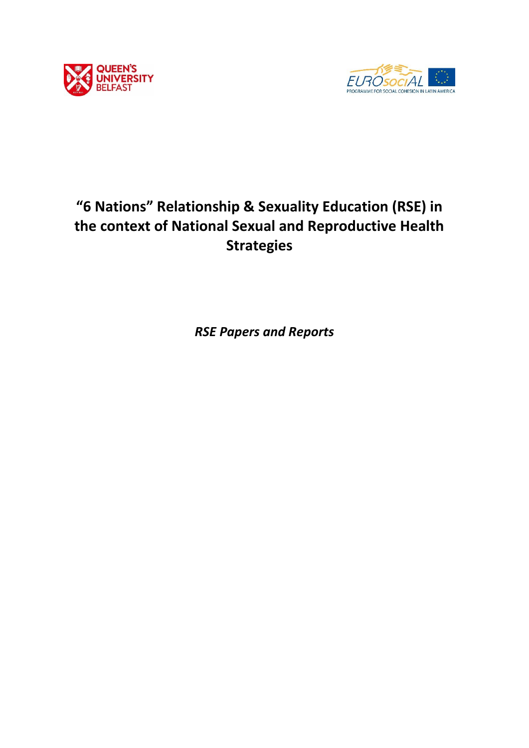



# **"6 Nations" Relationship & Sexuality Education (RSE) in the context of National Sexual and Reproductive Health Strategies**

*RSE Papers and Reports*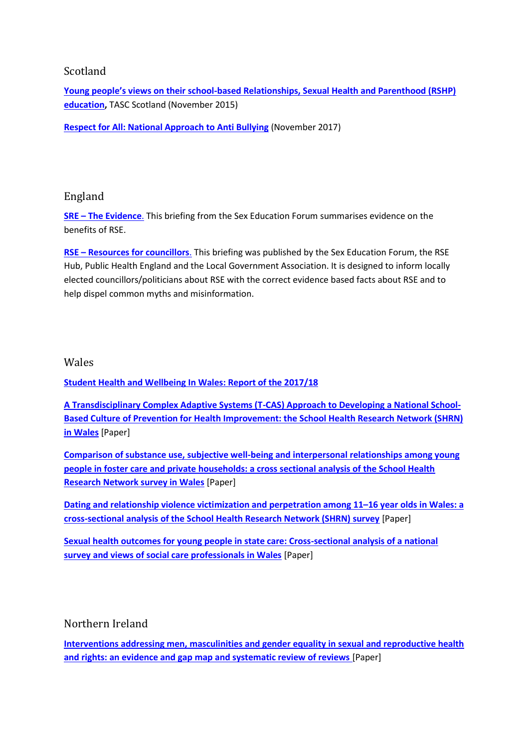# Scotland

**Young people's views on their school[-based Relationships, Sexual Health and Parenthood \(RSHP\)](http://www.tascagency.co.uk/assets/pdfs/Lothian-RSHP-Education-for-Healthy-Respect-FULL-REPORT.pdf)  [education,](http://www.tascagency.co.uk/assets/pdfs/Lothian-RSHP-Education-for-Healthy-Respect-FULL-REPORT.pdf)** TASC Scotland (November 2015)

**[Respect for All: National Approach to Anti Bullying](https://www.gov.scot/publications/respect-national-approach-anti-bullying-scotlands-children-young-people/)** (November 2017)

# England

**[SRE](https://www.sexeducationforum.org.uk/resources/evidence/sre-evidence) – [The Evidence](https://www.sexeducationforum.org.uk/resources/evidence/sre-evidence)**. This briefing from the Sex Education Forum summarises evidence on the benefits of RSE.

**[RSE](https://www.local.gov.uk/resources-councillors-supporting-relationship-sex-education-rse) - [Resources for councillors](https://www.local.gov.uk/resources-councillors-supporting-relationship-sex-education-rse)**. This briefing was published by the Sex Education Forum, the RSE Hub, Public Health England and the Local Government Association. It is designed to inform locally elected councillors/politicians about RSE with the correct evidence based facts about RSE and to help dispel common myths and misinformation.

### Wales

**[Student Health and Wellbeing In Wales: Report of the 2017/18](http://www.shrn.org.uk/wp-content/uploads/2019/05/SHRN-HBSC-NR_31.05.2019.pdf)**

**[A Transdisciplinary Complex Adaptive Systems \(T-CAS\) Approach to Developing a National School-](https://link.springer.com/article/10.1007/s11121-018-0969-3)[Based Culture of Prevention for Health Improvement: the School Health Research Network \(SHRN\)](https://link.springer.com/article/10.1007/s11121-018-0969-3)  [in Wales](https://link.springer.com/article/10.1007/s11121-018-0969-3)** [Paper]

**[Comparison of substance use, subjective well-being and interpersonal relationships among young](https://bmjopen.bmj.com/content/bmjopen/7/2/e014198.full.pdf)  [people in foster care and private households: a cross sectional analysis of the School Health](https://bmjopen.bmj.com/content/bmjopen/7/2/e014198.full.pdf)  [Research Network survey in Wales](https://bmjopen.bmj.com/content/bmjopen/7/2/e014198.full.pdf)** [Paper]

**[Dating and relationship violence victimization and perpetration among 11](http://orca-mwe.cf.ac.uk/125230/1/Young_Dating%20and%20relationship%20violence%20victimization%20and%20perpetration%20among%2011%3F16%20year%20olds%20in%20Wales.pdf)–16 year olds in Wales: a [cross-sectional analysis of the School Health Research Network \(SHRN\) survey](http://orca-mwe.cf.ac.uk/125230/1/Young_Dating%20and%20relationship%20violence%20victimization%20and%20perpetration%20among%2011%3F16%20year%20olds%20in%20Wales.pdf)** [Paper]

**[Sexual health outcomes for young people in state care: Cross-sectional analysis of a national](https://doi.org/10.1016/j.childyouth.2018.04.044)  [survey and views of social care professionals in Wales](https://doi.org/10.1016/j.childyouth.2018.04.044)** [Paper]

# Northern Ireland

**[Interventions addressing men, masculinities and gender equality in sexual and reproductive health](https://doi.org/10.1136/bmjgh-2019-001634)  [and rights: an evidence and gap map and systematic review of reviews](https://doi.org/10.1136/bmjgh-2019-001634)** [Paper]